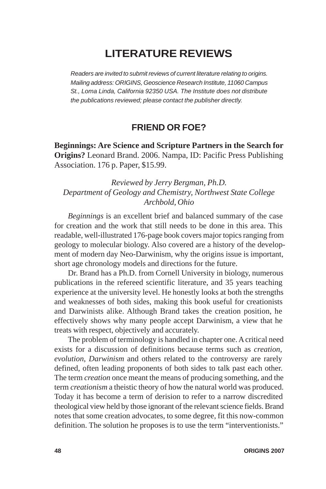## **LITERATURE REVIEWS**

*Readers are invited to submit reviews of current literature relating to origins. Mailing address: ORIGINS, Geoscience Research Institute, 11060 Campus St., Loma Linda, California 92350 USA. The Institute does not distribute the publications reviewed; please contact the publisher directly.*

## **FRIEND OR FOE?**

**Beginnings: Are Science and Scripture Partners in the Search for Origins?** Leonard Brand. 2006. Nampa, ID: Pacific Press Publishing Association. 176 p. Paper, \$15.99.

## *Reviewed by Jerry Bergman, Ph.D. Department of Geology and Chemistry, Northwest State College Archbold, Ohio*

*Beginnings* is an excellent brief and balanced summary of the case for creation and the work that still needs to be done in this area. This readable, well-illustrated 176-page book covers major topics ranging from geology to molecular biology. Also covered are a history of the development of modern day Neo-Darwinism, why the origins issue is important, short age chronology models and directions for the future.

Dr. Brand has a Ph.D. from Cornell University in biology, numerous publications in the refereed scientific literature, and 35 years teaching experience at the university level. He honestly looks at both the strengths and weaknesses of both sides, making this book useful for creationists and Darwinists alike. Although Brand takes the creation position, he effectively shows why many people accept Darwinism, a view that he treats with respect, objectively and accurately.

The problem of terminology is handled in chapter one. A critical need exists for a discussion of definitions because terms such as *creation, evolution*, *Darwinism* and others related to the controversy are rarely defined, often leading proponents of both sides to talk past each other. The term *creation* once meant the means of producing something, and the term *creationism* a theistic theory of how the natural world was produced. Today it has become a term of derision to refer to a narrow discredited theological view held by those ignorant of the relevant science fields. Brand notes that some creation advocates, to some degree, fit this now-common definition. The solution he proposes is to use the term "interventionists."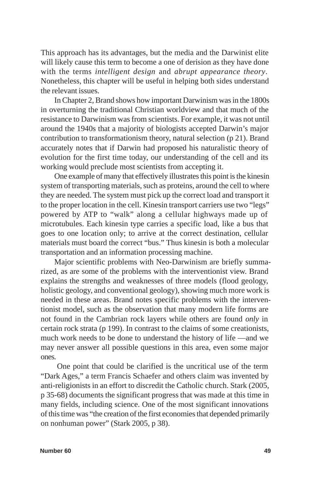This approach has its advantages, but the media and the Darwinist elite will likely cause this term to become a one of derision as they have done with the terms *intelligent design* and *abrupt appearance theory*. Nonetheless, this chapter will be useful in helping both sides understand the relevant issues.

In Chapter 2, Brand shows how important Darwinism was in the 1800s in overturning the traditional Christian worldview and that much of the resistance to Darwinism was from scientists. For example, it was not until around the 1940s that a majority of biologists accepted Darwin's major contribution to transformationism theory, natural selection (p 21). Brand accurately notes that if Darwin had proposed his naturalistic theory of evolution for the first time today, our understanding of the cell and its working would preclude most scientists from accepting it.

One example of many that effectively illustrates this point is the kinesin system of transporting materials, such as proteins, around the cell to where they are needed. The system must pick up the correct load and transport it to the proper location in the cell. Kinesin transport carriers use two "legs" powered by ATP to "walk" along a cellular highways made up of microtubules. Each kinesin type carries a specific load, like a bus that goes to one location only; to arrive at the correct destination, cellular materials must board the correct "bus." Thus kinesin is both a molecular transportation and an information processing machine.

Major scientific problems with Neo-Darwinism are briefly summarized, as are some of the problems with the interventionist view. Brand explains the strengths and weaknesses of three models (flood geology, holistic geology, and conventional geology), showing much more work is needed in these areas. Brand notes specific problems with the interventionist model, such as the observation that many modern life forms are not found in the Cambrian rock layers while others are found *only* in certain rock strata (p 199). In contrast to the claims of some creationists, much work needs to be done to understand the history of life —and we may never answer all possible questions in this area, even some major ones.

 One point that could be clarified is the uncritical use of the term "Dark Ages," a term Francis Schaefer and others claim was invented by anti-religionists in an effort to discredit the Catholic church. Stark (2005, p 35-68) documents the significant progress that was made at this time in many fields, including science. One of the most significant innovations of this time was "the creation of the first economies that depended primarily on nonhuman power" (Stark 2005, p 38).